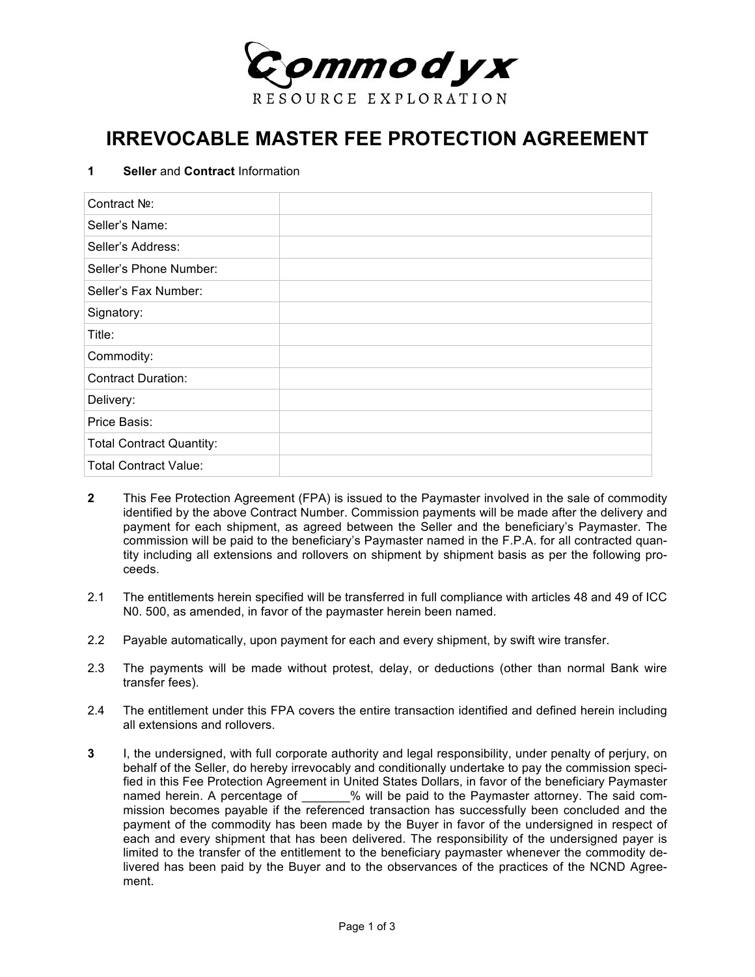

## **IRREVOCABLE MASTER FEE PROTECTION AGREEMENT**

## **1 Seller** and **Contract** Information

| Contract No:                    |  |
|---------------------------------|--|
| Seller's Name:                  |  |
| Seller's Address:               |  |
| Seller's Phone Number:          |  |
| Seller's Fax Number:            |  |
| Signatory:                      |  |
| Title:                          |  |
| Commodity:                      |  |
| <b>Contract Duration:</b>       |  |
| Delivery:                       |  |
| Price Basis:                    |  |
| <b>Total Contract Quantity:</b> |  |
| <b>Total Contract Value:</b>    |  |

- **2** This Fee Protection Agreement (FPA) is issued to the Paymaster involved in the sale of commodity identified by the above Contract Number. Commission payments will be made after the delivery and payment for each shipment, as agreed between the Seller and the beneficiary's Paymaster. The commission will be paid to the beneficiary's Paymaster named in the F.P.A. for all contracted quantity including all extensions and rollovers on shipment by shipment basis as per the following proceeds.
- 2.1 The entitlements herein specified will be transferred in full compliance with articles 48 and 49 of ICC N0. 500, as amended, in favor of the paymaster herein been named.
- 2.2 Payable automatically, upon payment for each and every shipment, by swift wire transfer.
- 2.3 The payments will be made without protest, delay, or deductions (other than normal Bank wire transfer fees).
- 2.4 The entitlement under this FPA covers the entire transaction identified and defined herein including all extensions and rollovers.
- **3** I, the undersigned, with full corporate authority and legal responsibility, under penalty of perjury, on behalf of the Seller, do hereby irrevocably and conditionally undertake to pay the commission specified in this Fee Protection Agreement in United States Dollars, in favor of the beneficiary Paymaster named herein. A percentage of  $\hspace{1cm}$  % will be paid to the Paymaster attorney. The said commission becomes payable if the referenced transaction has successfully been concluded and the payment of the commodity has been made by the Buyer in favor of the undersigned in respect of each and every shipment that has been delivered. The responsibility of the undersigned payer is limited to the transfer of the entitlement to the beneficiary paymaster whenever the commodity delivered has been paid by the Buyer and to the observances of the practices of the NCND Agreement.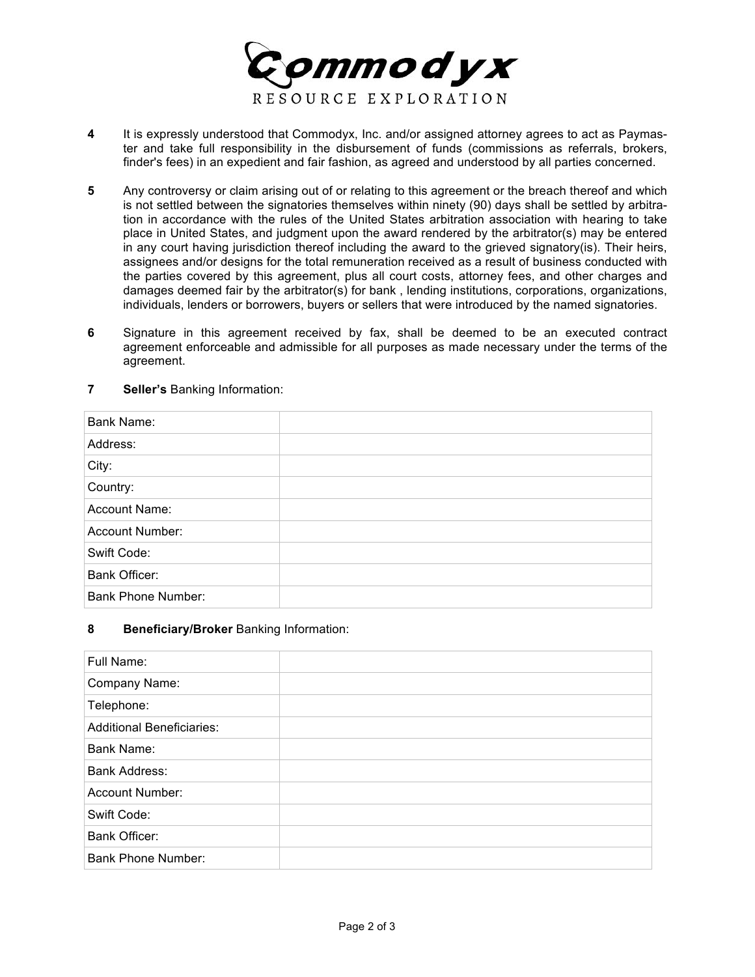

- **4** It is expressly understood that Commodyx, Inc. and/or assigned attorney agrees to act as Paymaster and take full responsibility in the disbursement of funds (commissions as referrals, brokers, finder's fees) in an expedient and fair fashion, as agreed and understood by all parties concerned.
- **5** Any controversy or claim arising out of or relating to this agreement or the breach thereof and which is not settled between the signatories themselves within ninety (90) days shall be settled by arbitration in accordance with the rules of the United States arbitration association with hearing to take place in United States, and judgment upon the award rendered by the arbitrator(s) may be entered in any court having jurisdiction thereof including the award to the grieved signatory(is). Their heirs, assignees and/or designs for the total remuneration received as a result of business conducted with the parties covered by this agreement, plus all court costs, attorney fees, and other charges and damages deemed fair by the arbitrator(s) for bank , lending institutions, corporations, organizations, individuals, lenders or borrowers, buyers or sellers that were introduced by the named signatories.
- **6** Signature in this agreement received by fax, shall be deemed to be an executed contract agreement enforceable and admissible for all purposes as made necessary under the terms of the agreement.

| <b>Bank Name:</b>         |  |
|---------------------------|--|
| Address:                  |  |
| City:                     |  |
| Country:                  |  |
| <b>Account Name:</b>      |  |
| Account Number:           |  |
| Swift Code:               |  |
| Bank Officer:             |  |
| <b>Bank Phone Number:</b> |  |

**7 Seller's** Banking Information:

## **8 Beneficiary/Broker** Banking Information:

| Full Name:                       |  |
|----------------------------------|--|
| Company Name:                    |  |
| Telephone:                       |  |
| <b>Additional Beneficiaries:</b> |  |
| Bank Name:                       |  |
| <b>Bank Address:</b>             |  |
| Account Number:                  |  |
| Swift Code:                      |  |
| Bank Officer:                    |  |
| <b>Bank Phone Number:</b>        |  |